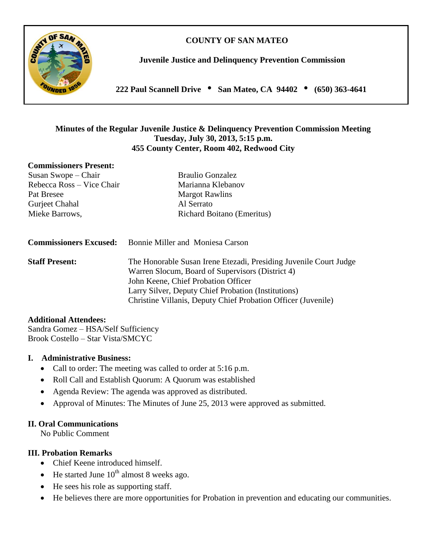# **COUNTY OF SAN MATEO**



**Juvenile Justice and Delinquency Prevention Commission**

**222 Paul Scannell Drive San Mateo, CA 94402 (650) 363-4641**

### **Minutes of the Regular Juvenile Justice & Delinquency Prevention Commission Meeting Tuesday, July 30, 2013, 5:15 p.m. 455 County Center, Room 402, Redwood City**

#### **Commissioners Present:**

Susan Swope – Chair Braulio Gonzalez Rebecca Ross – Vice Chair Marianna Klebanov Pat Bresee Margot Rawlins Gurjeet Chahal Al Serrato

Mieke Barrows, Richard Boitano (Emeritus)

**Commissioners Excused:** Bonnie Miller and Moniesa Carson

**Staff Present:** The Honorable Susan Irene Etezadi, Presiding Juvenile Court Judge Warren Slocum, Board of Supervisors (District 4) John Keene, Chief Probation Officer Larry Silver, Deputy Chief Probation (Institutions) Christine Villanis, Deputy Chief Probation Officer (Juvenile)

#### **Additional Attendees:**

Sandra Gomez – HSA/Self Sufficiency Brook Costello – Star Vista/SMCYC

#### **I. Administrative Business:**

- Call to order: The meeting was called to order at 5:16 p.m.
- Roll Call and Establish Quorum: A Quorum was established
- Agenda Review: The agenda was approved as distributed.
- Approval of Minutes: The Minutes of June 25, 2013 were approved as submitted.

### **II. Oral Communications**

No Public Comment

### **III. Probation Remarks**

- Chief Keene introduced himself.
- $\bullet$  He started June 10<sup>th</sup> almost 8 weeks ago.
- He sees his role as supporting staff.
- He believes there are more opportunities for Probation in prevention and educating our communities.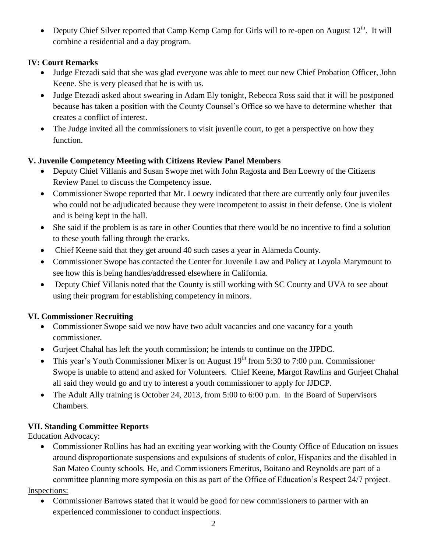• Deputy Chief Silver reported that Camp Kemp Camp for Girls will to re-open on August  $12^{th}$ . It will combine a residential and a day program.

# **IV: Court Remarks**

- Judge Etezadi said that she was glad everyone was able to meet our new Chief Probation Officer, John Keene. She is very pleased that he is with us.
- Judge Etezadi asked about swearing in Adam Ely tonight, Rebecca Ross said that it will be postponed because has taken a position with the County Counsel's Office so we have to determine whether that creates a conflict of interest.
- The Judge invited all the commissioners to visit juvenile court, to get a perspective on how they function.

# **V. Juvenile Competency Meeting with Citizens Review Panel Members**

- Deputy Chief Villanis and Susan Swope met with John Ragosta and Ben Loewry of the Citizens Review Panel to discuss the Competency issue.
- Commissioner Swope reported that Mr. Loewry indicated that there are currently only four juveniles who could not be adjudicated because they were incompetent to assist in their defense. One is violent and is being kept in the hall.
- She said if the problem is as rare in other Counties that there would be no incentive to find a solution to these youth falling through the cracks.
- Chief Keene said that they get around 40 such cases a year in Alameda County.
- Commissioner Swope has contacted the Center for Juvenile Law and Policy at Loyola Marymount to see how this is being handles/addressed elsewhere in California.
- Deputy Chief Villanis noted that the County is still working with SC County and UVA to see about using their program for establishing competency in minors.

# **VI. Commissioner Recruiting**

- Commissioner Swope said we now have two adult vacancies and one vacancy for a youth commissioner.
- Gurjeet Chahal has left the youth commission; he intends to continue on the JJPDC.
- This year's Youth Commissioner Mixer is on August  $19<sup>th</sup>$  from 5:30 to 7:00 p.m. Commissioner Swope is unable to attend and asked for Volunteers. Chief Keene, Margot Rawlins and Gurjeet Chahal all said they would go and try to interest a youth commissioner to apply for JJDCP.
- The Adult Ally training is October 24, 2013, from 5:00 to 6:00 p.m. In the Board of Supervisors Chambers.

# **VII. Standing Committee Reports**

Education Advocacy:

 Commissioner Rollins has had an exciting year working with the County Office of Education on issues around disproportionate suspensions and expulsions of students of color, Hispanics and the disabled in San Mateo County schools. He, and Commissioners Emeritus, Boitano and Reynolds are part of a committee planning more symposia on this as part of the Office of Education's Respect 24/7 project.

Inspections:

 Commissioner Barrows stated that it would be good for new commissioners to partner with an experienced commissioner to conduct inspections.